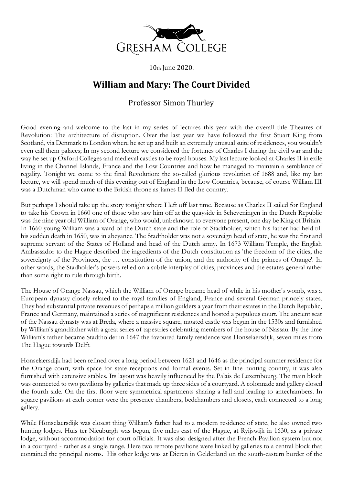

10th June 2020.

## **William and Mary: The Court Divided**

## Professor Simon Thurley

Good evening and welcome to the last in my series of lectures this year with the overall title Theatres of Revolution: The architecture of disruption. Over the last year we have followed the first Stuart King from Scotland, via Denmark to London where he set up and built an extremely unusual suite of residences, you wouldn't even call them palaces; In my second lecture we considered the fortunes of Charles I during the civil war and the way he set up Oxford Colleges and medieval castles to be royal houses. My last lecture looked at Charles II in exile living in the Channel Islands, France and the Low Countries and how he managed to maintain a semblance of regality. Tonight we come to the final Revolution: the so-called glorious revolution of 1688 and, like my last lecture, we will spend much of this evening out of England in the Low Countries, because, of course William III was a Dutchman who came to the British throne as James II fled the country.

But perhaps I should take up the story tonight where I left off last time. Because as Charles II sailed for England to take his Crown in 1660 one of those who saw him off at the quayside in Scheveningen in the Dutch Republic was the nine year old William of Orange, who would, unbeknown to everyone present, one day be King of Britain. In 1660 young William was a ward of the Dutch state and the role of Stadtholder, which his father had held till his sudden death in 1650, was in abeyance. The Stadtholder was not a sovereign head of state, he was the first and supreme servant of the States of Holland and head of the Dutch army. In 1673 William Temple, the English Ambassador to the Hague described the ingredients of the Dutch constitution as 'the freedom of the cities, the sovereignty of the Provinces, the ... constitution of the union, and the authority of the princes of Orange'. In other words, the Stadholder's powers relied on a subtle interplay of cities, provinces and the estates general rather than some right to rule through birth.

The House of Orange Nassau, which the William of Orange became head of while in his mother's womb, was a European dynasty closely related to the royal families of England, France and several German princely states. They had substantial private revenues of perhaps a million guilders a year from their estates in the Dutch Republic, France and Germany, maintained a series of magnificent residences and hosted a populous court. The ancient seat of the Nassau dynasty was at Breda, where a massive square, moated castle was begun in the 1530s and furnished by William's grandfather with a great series of tapestries celebrating members of the house of Nassau. By the time William's father became Stadtholder in 1647 the favoured family residence was Honselaersdijk, seven miles from The Hague towards Delft.

Honselaersdijk had been refined over a long period between 1621 and 1646 as the principal summer residence for the Orange court, with space for state receptions and formal events. Set in fine hunting country, it was also furnished with extensive stables. Its layout was heavily influenced by the Palais de Luxembourg. The main block was connected to two pavilions by galleries that made up three sides of a courtyard. A colonnade and gallery closed the fourth side. On the first floor were symmetrical apartments sharing a hall and leading to antechambers. In square pavilions at each corner were the presence chambers, bedchambers and closets, each connected to a long gallery.

While Honselaersdijk was closest thing William's father had to a modern residence of state, he also owned two hunting lodges. Huis ter Nieuburgh was begun, five miles east of the Hague, at Ryijswijk in 1630, as a private lodge, without accommodation for court officials. It was also designed after the French Pavilion system but not in a courtyard - rather as a single range. Here two remote pavilions were linked by galleries to a central block that contained the principal rooms. His other lodge was at Dieren in Gelderland on the south-eastern border of the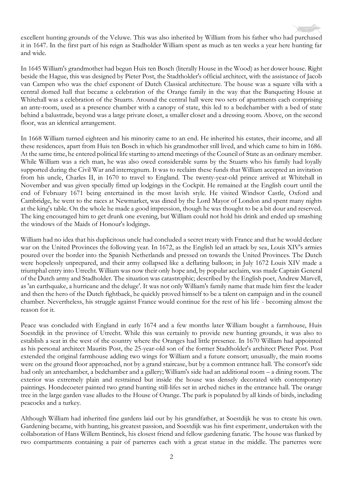excellent hunting grounds of the Veluwe. This was also inherited by William from his father who had purchased it in 1647. In the first part of his reign as Stadholder William spent as much as ten weeks a year here hunting far and wide.

In 1645 William's grandmother had begun Huis ten Bosch (literally House in the Wood) as her dower house. Right beside the Hague, this was designed by Pieter Post, the Stadtholder's official architect, with the assistance of Jacob van Campen who was the chief exponent of Dutch Classical architecture. The house was a square villa with a central domed hall that became a celebration of the Orange family in the way that the Banqueting House at Whitehall was a celebration of the Stuarts. Around the central hall were two sets of apartments each comprising an ante-room, used as a presence chamber with a canopy of state, this led to a bedchamber with a bed of state behind a balustrade, beyond was a large private closet, a smaller closet and a dressing room. Above, on the second floor, was an identical arrangement.

In 1668 William turned eighteen and his minority came to an end. He inherited his estates, their income, and all these residences, apart from Huis ten Bosch in which his grandmother still lived, and which came to him in 1686. At the same time, he entered political life starting to attend meetings of the Council of State as an ordinary member. While William was a rich man, he was also owed considerable sums by the Stuarts who his family had loyally supported during the Civil War and interregnum. It was to reclaim these funds that William accepted an invitation from his uncle, Charles II, in 1670 to travel to England. The twenty-year-old prince arrived at Whitehall in November and was given specially fitted up lodgings in the Cockpit. He remained at the English court until the end of February 1671 being entertained in the most lavish style. He visited Windsor Castle, Oxford and Cambridge, he went to the races at Newmarket, was dined by the Lord Mayor of London and spent many nights at the king's table. On the whole he made a good impression, though he was thought to be a bit dour and reserved. The king encouraged him to get drunk one evening, but William could not hold his drink and ended up smashing the windows of the Maids of Honour's lodgings.

William had no idea that his duplicitous uncle had concluded a secret treaty with France and that he would declare war on the United Provinces the following year. In 1672, as the English led an attack by sea, Louis XIV's armies poured over the border into the Spanish Netherlands and pressed on towards the United Provinces. The Dutch were hopelessly unprepared, and their army collapsed like a deflating balloon; in July 1672 Louis XIV made a triumphal entry into Utrecht. William was now their only hope and, by popular acclaim, was made Captain General of the Dutch army and Stadholder. The situation was catastrophic; described by the English poet, Andrew Marvell, as 'an earthquake, a hurricane and the deluge'. It was not only William's family name that made him first the leader and then the hero of the Dutch fightback, he quickly proved himself to be a talent on campaign and in the council chamber. Nevertheless, his struggle against France would continue for the rest of his life - becoming almost the reason for it.

Peace was concluded with England in early 1674 and a few months later William bought a farmhouse, Huis Soestdijk in the province of Utrecht. While this was certainly to provide new hunting grounds, it was also to establish a seat in the west of the country where the Oranges had little presence. In 1670 William had appointed as his personal architect Maurits Post, the 25-year-old son of the former Stadtholder's architect Pieter Post. Post extended the original farmhouse adding two wings for William and a future consort; unusually, the main rooms were on the ground floor approached, not by a grand staircase, but by a common entrance hall. The consort's side had only an antechamber, a bedchamber and a gallery; William's side had an additional room – a dining room. The exterior was extremely plain and restrained but inside the house was densely decorated with contemporary paintings. Hondecoeter painted two grand hunting still-lifes set in arched niches in the entrance hall. The orange tree in the large garden vase alludes to the House of Orange. The park is populated by all kinds of birds, including peacocks and a turkey.

Although William had inherited fine gardens laid out by his grandfather, at Soestdijk he was to create his own. Gardening became, with hunting, his greatest passion, and Soestdijk was his first experiment, undertaken with the collaboration of Hans Willem Bentinck, his closest friend and fellow gardening fanatic. The house was flanked by two compartments containing a pair of parterres each with a great statue in the middle. The parterres were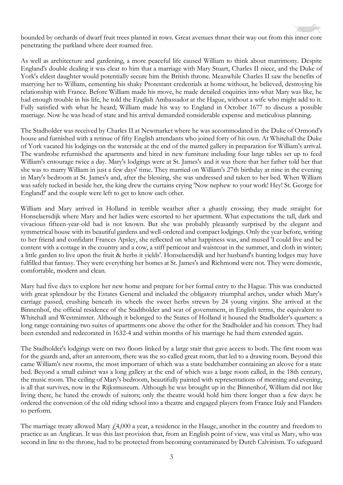bounded by orchards of dwarf fruit trees planted in rows. Great avenues thrust their way out from this inner core penetrating the parkland where deer roamed free.

As well as architecture and gardening, a more peaceful life caused William to think about matrimony. Despite England's double dealing it was clear to him that a marriage with Mary Stuart, Charles II niece, and the Duke of York's eldest daughter would potentially secure him the British throne. Meanwhile Charles II saw the benefits of marrying her to William, cementing his shaky Protestant credentials at home without, he believed, destroying his relationship with France. Before William made his move, he made detailed enquiries into what Mary was like, he had enough trouble in his life, he told the English Ambassador at the Hague, without a wife who might add to it. Fully satisfied with what he heard; William made his way to England in October 1677 to discuss a possible marriage. Now he was head of state and his arrival demanded considerable expense and meticulous planning.

The Stadholder was received by Charles II at Newmarket where he was accommodated in the Duke of Ormond's house and furnished with a retinue of fifty English attendants who joined forty of his own. At Whitehall the Duke of York vacated his lodgings on the waterside at the end of the matted gallery in preparation for William's arrival. The wardrobe refurnished the apartments and hired in new furniture including four large tables set up to feed William's entourage twice a day. Mary's lodgings were at St. James's and it was there that her father told her that she was to marry William in just a few days' time. They married on William's 27th birthday at nine in the evening in Mary's bedroom at St. James's and, after the blessing, she was undressed and taken to her bed. When William was safely tucked in beside her, the king drew the curtains crying 'Now nephew to your work! Hey! St. George for England!' and the couple were left to get to know each other.

William and Mary arrived in Holland in terrible weather after a ghastly crossing; they made straight for Honselaersdijk where Mary and her ladies were escorted to her apartment. What expectations the tall, dark and vivacious fifteen-year-old had is not known. But she was probably pleasantly surprised by the elegant and symmetrical house with its beautiful gardens and well-ordered and compact lodgings. Only the year before, writing to her friend and confidant Frances Apsley, she reflected on what happiness was, and mused 'I could live and be content with a cottage in the country and a cow, a stiff petticoat and waistcoat in the summer, and cloth in winter; a little garden to live upon the fruit & herbs it yields'. Honselaersdijk and her husband's hunting lodges may have fulfilled that fantasy. They were everything her homes at St. James's and Richmond were not. They were domestic, comfortable, modern and clean.

Mary had five days to explore her new home and prepare for her formal entry to the Hague. This was conducted with great splendour by the Estates General and included the obligatory triumphal arches, under which Mary's carriage passed, crushing beneath its wheels the sweet herbs strewn by 24 young virgins. She arrived at the Binnenhof, the official residence of the Stadtholder and seat of government, in English terms, the equivalent to Whitehall and Westminster. Although it belonged to the States of Holland it housed the Stadholder's quarters: a long range containing two suites of apartments one above the other for the Stadholder and his consort. They had been extended and redecorated in 1632-4 and within months of his marriage he had them extended again.

The Stadholder's lodgings were on two floors linked by a large stair that gave access to both. The first room was for the guards and, after an anteroom, there was the so-called great room, that led to a drawing room. Beyond this came William's new rooms, the most important of which was a state bedchamber containing an alcove for a state bed. Beyond a small cabinet was a long gallery at the end of which was a large room called, in the 18th century, the music room. The ceiling of Mary's bedroom, beautifully painted with representations of morning and evening, is all that survives, now in the Rijksmuseum. Although he was brought up in the Binnenhof, William did not like living there, he hated the crowds of suitors; only the theatre would hold him there longer than a few days: he ordered the conversion of the old riding school into a theatre and engaged players from France Italy and Flanders to perform.

The marriage treaty allowed Mary  $f_1(4,000)$  a year, a residence in the Hauge, another in the country and freedom to practice as an Anglican. It was this last provision that, from an English point of view, was vital as Mary, who was second in line to the throne, had to be protected from becoming contaminated by Dutch Calvinism. To safeguard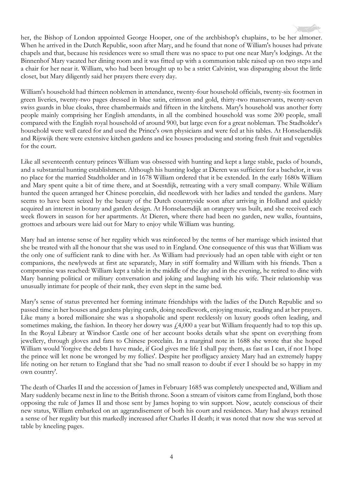her, the Bishop of London appointed George Hooper, one of the archbishop's chaplains, to be her almoner. When he arrived in the Dutch Republic, soon after Mary, and he found that none of William's houses had private chapels and that, because his residences were so small there was no space to put one near Mary's lodgings. At the Binnenhof Mary vacated her dining room and it was fitted up with a communion table raised up on two steps and a chair for her near it. William, who had been brought up to be a strict Calvinist, was disparaging about the little closet, but Mary diligently said her prayers there every day.

William's household had thirteen noblemen in attendance, twenty-four household officials, twenty-six footmen in green liveries, twenty-two pages dressed in blue satin, crimson and gold, thirty-two manservants, twenty-seven swiss guards in blue cloaks, three chambermaids and fifteen in the kitchens. Mary's household was another forty people mainly comprising her English attendants, in all the combined household was some 200 people, small compared with the English royal household of around 900, but large even for a great nobleman. The Stadholder's household were well cared for and used the Prince's own physicians and were fed at his tables. At Honselaersdijk and Rijswijk there were extensive kitchen gardens and ice houses producing and storing fresh fruit and vegetables for the court.

Like all seventeenth century princes William was obsessed with hunting and kept a large stable, packs of hounds, and a substantial hunting establishment. Although his hunting lodge at Dieren was sufficient for a bachelor, it was no place for the married Stadtholder and in 1678 William ordered that it be extended. In the early 1680s William and Mary spent quite a bit of time there, and at Soestdijk, retreating with a very small company. While William hunted the queen arranged her Chinese porcelain, did needlework with her ladies and tended the gardens. Mary seems to have been seized by the beauty of the Dutch countryside soon after arriving in Holland and quickly acquired an interest in botany and garden design. At Honselaersdijk an orangery was built, and she received each week flowers in season for her apartments. At Dieren, where there had been no garden, new walks, fountains, grottoes and arbours were laid out for Mary to enjoy while William was hunting.

Mary had an intense sense of her regality which was reinforced by the terms of her marriage which insisted that she be treated with all the honour that she was used to in England. One consequence of this was that William was the only one of sufficient rank to dine with her. As William had previously had an open table with eight or ten companions, the newlyweds at first ate separately, Mary in stiff formality and William with his friends. Then a compromise was reached: William kept a table in the middle of the day and in the evening, he retired to dine with Mary banning political or military conversation and joking and laughing with his wife. Their relationship was unusually intimate for people of their rank, they even slept in the same bed.

Mary's sense of status prevented her forming intimate friendships with the ladies of the Dutch Republic and so passed time in her houses and gardens playing cards, doing needlework, enjoying music, reading and at her prayers. Like many a bored millionaire she was a shopaholic and spent recklessly on luxury goods often leading, and sometimes making, the fashion. In theory her dowry was  $\dot{\gamma}$  4,000 a year but William frequently had to top this up. In the Royal Library at Windsor Castle one of her account books details what she spent on everything from jewellery, through gloves and fans to Chinese porcelain. In a marginal note in 1688 she wrote that she hoped William would 'forgive the debts I have made, if God gives me life I shall pay them, as fast as I can, if not I hope the prince will let none be wronged by my follies'. Despite her profligacy anxiety Mary had an extremely happy life noting on her return to England that she 'had no small reason to doubt if ever I should be so happy in my own country'.

The death of Charles II and the accession of James in February 1685 was completely unexpected and, William and Mary suddenly became next in line to the British throne. Soon a stream of visitors came from England, both those opposing the rule of James II and those sent by James hoping to win support. Now, acutely conscious of their new status, William embarked on an aggrandisement of both his court and residences. Mary had always retained a sense of her regality but this markedly increased after Charles II death; it was noted that now she was served at table by kneeling pages.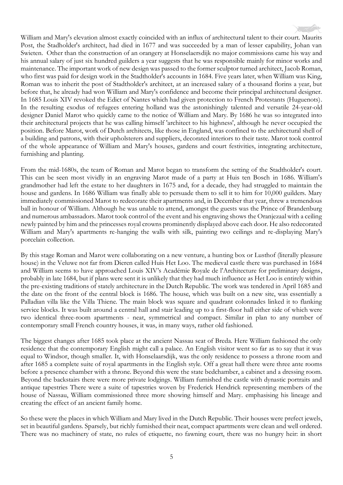William and Mary's elevation almost exactly coincided with an influx of architectural talent to their court. Maurits Post, the Stadholder's architect, had died in 1677 and was succeeded by a man of lesser capability, Johan van Swieten. Other than the construction of an orangery at Honselaersdijk no major commissions came his way and his annual salary of just six hundred guilders a year suggests that he was responsible mainly for minor works and maintenance. The important work of new design was passed to the former sculptor turned architect, Jacob Roman, who first was paid for design work in the Stadtholder's accounts in 1684. Five years later, when William was King, Roman was to inherit the post of Stadtholder's architect, at an increased salary of a thousand florins a year, but before that, he already had won William and Mary's confidence and become their principal architectural designer. In 1685 Louis XIV revoked the Edict of Nantes which had given protection to French Protestants (Huguenots). In the resulting exodus of refugees entering holland was the astonishingly talented and versatile 24-year-old designer Daniel Marot who quickly came to the notice of William and Mary. By 1686 he was so integrated into their architectural projects that he was calling himself 'architect to his highness', although he never occupied the position. Before Marot, work of Dutch architects, like those in England, was confined to the architectural shell of a building and patrons, with their upholsterers and suppliers, decorated interiors to their taste. Marot took control of the whole appearance of William and Mary's houses, gardens and court festivities, integrating architecture, furnishing and planting.

From the mid-1680s, the team of Roman and Marot began to transform the setting of the Stadtholder's court. This can be seen most vividly in an engraving Marot made of a party at Huis ten Bosch in 1686. William's grandmother had left the estate to her daughters in 1675 and, for a decade, they had struggled to maintain the house and gardens. In 1686 William was finally able to persuade them to sell it to him for 10,000 guilders. Mary immediately commissioned Marot to redecorate their apartments and, in December that year, threw a tremendous ball in honour of William. Although he was unable to attend, amongst the guests was the Prince of Brandenburg and numerous ambassadors. Marot took control of the event and his engraving shows the Oranjezaal with a ceiling newly painted by him and the princesses royal crowns prominently displayed above each door. He also redecorated William and Mary's apartments re-hanging the walls with silk, painting two ceilings and re-displaying Mary's porcelain collection.

By this stage Roman and Marot were collaborating on a new venture, a hunting box or Lusthof (literally pleasure house) in the Veluwe not far from Dieren called Huis Het Loo. The medieval castle there was purchased in 1684 and William seems to have approached Louis XIV's Académie Royale de l'Architecture for preliminary designs, probably in late 1684, but if plans were sent it is unlikely that they had much influence as Het Loo is entirely within the pre-existing traditions of stately architecture in the Dutch Republic. The work was tendered in April 1685 and the date on the front of the central block is 1686. The house, which was built on a new site, was essentially a Palladian villa like the Villa Thiene. The main block was square and quadrant colonnades linked it to flanking service blocks. It was built around a central hall and stair leading up to a first-floor hall either side of which were two identical three-room apartments - neat, symmetrical and compact. Similar in plan to any number of contemporary small French country houses, it was, in many ways, rather old fashioned.

The biggest changes after 1685 took place at the ancient Nassau seat of Breda. Here William fashioned the only residence that the contemporary English might call a palace. An English visitor went so far as to say that it was equal to Windsor, though smaller. It, with Honselaarsdijk, was the only residence to possess a throne room and after 1685 a complete suite of royal apartments in the English style. Off a great hall there were three ante rooms before a presence chamber with a throne. Beyond this were the state bedchamber, a cabinet and a dressing room. Beyond the backstairs there were more private lodgings. William furnished the castle with dynastic portraits and antique tapestries There were a suite of tapestries woven by Frederick Hendrick representing members of the house of Nassau, William commissioned three more showing himself and Mary. emphasising his lineage and creating the effect of an ancient family home.

So these were the places in which William and Mary lived in the Dutch Republic. Their houses were prefect jewels, set in beautiful gardens. Sparsely, but richly furnished their neat, compact apartments were clean and well ordered. There was no machinery of state, no rules of etiquette, no fawning court, there was no hungry heir: in short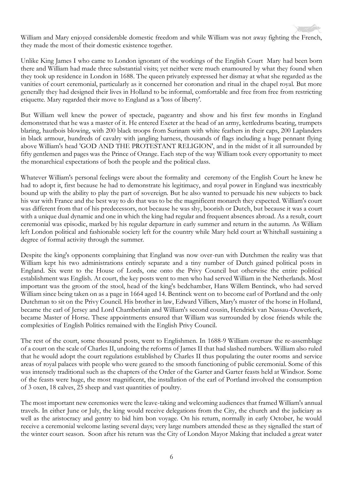

William and Mary enjoyed considerable domestic freedom and while William was not away fighting the French, they made the most of their domestic existence together.

Unlike King James I who came to London ignorant of the workings of the English Court Mary had been born there and William had made three substantial visits; yet neither were much enamoured by what they found when they took up residence in London in 1688. The queen privately expressed her dismay at what she regarded as the vanities of court ceremonial, particularly as it concerned her coronation and ritual in the chapel royal. But more generally they had designed their lives in Holland to be informal, comfortable and free from free from restricting etiquette. Mary regarded their move to England as a 'loss of liberty'.

But William well knew the power of spectacle, pageantry and show and his first few months in England demonstrated that he was a master of it. He entered Exeter at the head of an army, kettledrums beating, trumpets blaring, hautbois blowing, with 200 black troops from Surinam with white feathers in their caps, 200 Laplanders in black armour, hundreds of cavalry with jangling harness, thousands of flags including a huge pennant flying above William's head 'GOD AND THE PROTESTANT RELIGION', and in the midst of it all surrounded by fifty gentlemen and pages was the Prince of Orange. Each step of the way William took every opportunity to meet the monarchical expectations of both the people and the political class.

Whatever William's personal feelings were about the formality and ceremony of the English Court he knew he had to adopt it, first because he had to demonstrate his legitimacy, and royal power in England was inextricably bound up with the ability to play the part of sovereign. But he also wanted to persuade his new subjects to back his war with France and the best way to do that was to be the magnificent monarch they expected. William's court was different from that of his predecessors, not because he was shy, boorish or Dutch, but because it was a court with a unique dual dynamic and one in which the king had regular and frequent absences abroad. As a result, court ceremonial was episodic, marked by his regular departure in early summer and return in the autumn. As William left London political and fashionable society left for the country while Mary held court at Whitehall sustaining a degree of formal activity through the summer.

Despite the king's opponents complaining that England was now over-run with Dutchmen the reality was that William kept his two administrations entirely separate and a tiny number of Dutch gained political posts in England. Six went to the House of Lords, one onto the Privy Council but otherwise the entire political establishment was English. At court, the key posts went to men who had served William in the Netherlands. Most important was the groom of the stool, head of the king's bedchamber, Hans Willem Bentinck, who had served William since being taken on as a page in 1664 aged 14. Bentinck went on to become earl of Portland and the only Dutchman to sit on the Privy Council. His brother in law, Edward Villiers, Mary's master of the horse in Holland, became the earl of Jersey and Lord Chamberlain and William's second cousin, Hendrick van Nassau-Ouwerkerk, became Master of Horse. These appointments ensured that William was surrounded by close friends while the complexities of English Politics remained with the English Privy Council.

The rest of the court, some thousand posts, went to Englishmen. In 1688-9 William oversaw the re-assemblage of a court on the scale of Charles II, undoing the reforms of James II that had slashed numbers. William also ruled that he would adopt the court regulations established by Charles II thus populating the outer rooms and service areas of royal palaces with people who were geared to the smooth functioning of public ceremonial. Some of this was intensely traditional such as the chapters of the Order of the Garter and Garter feasts held at Windsor. Some of the feasts were huge, the most magnificent, the installation of the earl of Portland involved the consumption of 3 oxen, 18 calves, 25 sheep and vast quantities of poultry.

The most important new ceremonies were the leave-taking and welcoming audiences that framed William's annual travels. In either June or July, the king would receive delegations from the City, the church and the judiciary as well as the aristocracy and gentry to bid him bon voyage. On his return, normally in early October, he would receive a ceremonial welcome lasting several days; very large numbers attended these as they signalled the start of the winter court season. Soon after his return was the City of London Mayor Making that included a great water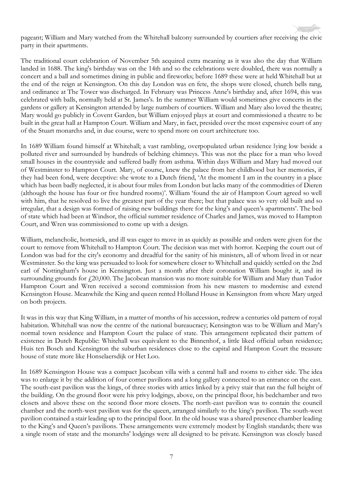pageant; William and Mary watched from the Whitehall balcony surrounded by courtiers after receiving the civic party in their apartments.

The traditional court celebration of November 5th acquired extra meaning as it was also the day that William landed in 1688. The king's birthday was on the 14th and so the celebrations were doubled, there was normally a concert and a ball and sometimes dining in public and fireworks; before 1689 these were at held Whitehall but at the end of the reign at Kensington. On this day London was en fete, the shops were closed, church bells rang, and ordinance at The Tower was discharged. In February was Princess Anne's birthday and, after 1694, this was celebrated with balls, normally held at St. James's. In the summer William would sometimes give concerts in the gardens or gallery at Kensington attended by large numbers of courtiers. William and Mary also loved the theatre; Mary would go publicly in Covent Garden, but William enjoyed plays at court and commissioned a theatre to be built in the great hall at Hampton Court. William and Mary, in fact, presided over the most expensive court of any of the Stuart monarchs and, in due course, were to spend more on court architecture too.

In 1689 William found himself at Whitehall; a vast rambling, overpopulated urban residence lying low beside a polluted river and surrounded by hundreds of belching chimneys. This was not the place for a man who loved small houses in the countryside and suffered badly from asthma. Within days William and Mary had moved out of Westminster to Hampton Court. Mary, of course, knew the palace from her childhood but her memories, if they had been fond, were deceptive: she wrote to a Dutch friend, 'At the moment I am in the country in a place which has been badly neglected, it is about four miles from London but lacks many of the commodities of Dieren (although the house has four or five hundred rooms)'. William 'found the air of Hampton Court agreed so well with him, that he resolved to live the greatest part of the year there; but that palace was so very old built and so irregular, that a design was formed of raising new buildings there for the king's and queen's apartments'. The bed of state which had been at Windsor, the official summer residence of Charles and James, was moved to Hampton Court, and Wren was commissioned to come up with a design.

William, melancholic, homesick, and ill was eager to move in as quickly as possible and orders were given for the court to remove from Whitehall to Hampton Court. The decision was met with horror. Keeping the court out of London was bad for the city's economy and dreadful for the sanity of his ministers, all of whom lived in or near Westminster. So the king was persuaded to look for somewhere closer to Whitehall and quickly settled on the 2nd earl of Nottingham's house in Kensington. Just a month after their coronation William bought it, and its surrounding grounds for £20,000. The Jacobean mansion was no more suitable for William and Mary than Tudor Hampton Court and Wren received a second commission from his new masters to modernise and extend Kensington House. Meanwhile the King and queen rented Holland House in Kensington from where Mary urged on both projects.

It was in this way that King William, in a matter of months of his accession, redrew a centuries old pattern of royal habitation. Whitehall was now the centre of the national bureaucracy; Kensington was to be William and Mary's normal town residence and Hampton Court the palace of state. This arrangement replicated their pattern of existence in Dutch Republic: Whitehall was equivalent to the Binnenhof, a little liked official urban residence; Huis ten Bosch and Kensington the suburban residences close to the capital and Hampton Court the treasure house of state more like Honselaersdijk or Het Loo.

In 1689 Kensington House was a compact Jacobean villa with a central hall and rooms to either side. The idea was to enlarge it by the addition of four corner pavilions and a long gallery connected to an entrance on the east. The south-east pavilion was the kings, of three stories with attics linked by a privy stair that ran the full height of the building. On the ground floor were his privy lodgings, above, on the principal floor, his bedchamber and two closets and above these on the second floor more closets. The north-east pavilion was to contain the council chamber and the north-west pavilion was for the queen, arranged similarly to the king's pavilion. The south-west pavilion contained a stair leading up to the principal floor. In the old house was a shared presence chamber leading to the King's and Queen's pavilions. These arrangements were extremely modest by English standards; there was a single room of state and the monarchs' lodgings were all designed to be private. Kensington was closely based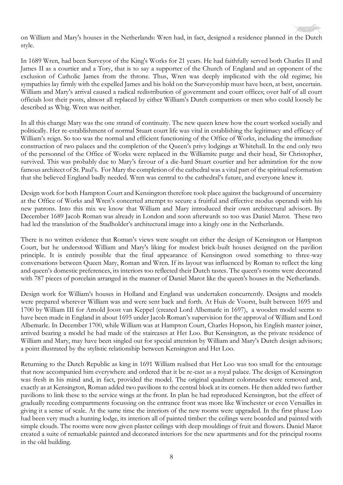

on William and Mary's houses in the Netherlands: Wren had, in fact, designed a residence planned in the Dutch style.

In 1689 Wren, had been Surveyor of the King's Works for 21 years. He had faithfully served both Charles II and James II as a courtier and a Tory, that is to say a supporter of the Church of England and an opponent of the exclusion of Catholic James from the throne. Thus, Wren was deeply implicated with the old regime; his sympathies lay firmly with the expelled James and his hold on the Surveyorship must have been, at best, uncertain. William and Mary's arrival caused a radical redistribution of government and court offices; over half of all court officials lost their posts, almost all replaced by either William's Dutch compatriots or men who could loosely be described as Whig. Wren was neither.

In all this change Mary was the one strand of continuity. The new queen knew how the court worked socially and politically. Her re-establishment of normal Stuart court life was vital in establishing the legitimacy and efficacy of William's reign. So too was the normal and efficient functioning of the Office of Works, including the immediate construction of two palaces and the completion of the Queen's privy lodgings at Whitehall. In the end only two of the personnel of the Office of Works were replaced in the Williamite purge and their head, Sir Christopher, survived. This was probably due to Mary's favour of a die-hard Stuart courtier and her admiration for the now famous architect of St. Paul's. For Mary the completion of the cathedral was a vital part of the spiritual reformation that she believed England badly needed. Wren was central to the cathedral's future, and everyone knew it.

Design work for both Hampton Court and Kensington therefore took place against the background of uncertainty at the Office of Works and Wren's concerted attempt to secure a fruitful and effective modus operandi with his new patrons. Into this mix we know that William and Mary introduced their own architectural advisors. By December 1689 Jacob Roman was already in London and soon afterwards so too was Daniel Marot. These two had led the translation of the Stadholder's architectural image into a kingly one in the Netherlands.

There is no written evidence that Roman's views were sought on either the design of Kensington or Hampton Court, but he understood William and Mary's liking for modest brick-built houses designed on the pavilion principle. It is entirely possible that the final appearance of Kensington owed something to three-way conversations between Queen Mary, Roman and Wren. If its layout was influenced by Roman to reflect the king and queen's domestic preferences, its interiors too reflected their Dutch tastes. The queen's rooms were decorated with 787 pieces of porcelain arranged in the manner of Daniel Marot like the queen's houses in the Netherlands.

Design work for William's houses in Holland and England was undertaken concurrently. Designs and models were prepared wherever William was and were sent back and forth. At Huis de Voorst, built between 1695 and 1700 by William III for Arnold Joost van Keppel (created Lord Albemarle in 1697), a wooden model seems to have been made in England in about 1695 under Jacob Roman's supervision for the approval of William and Lord Albemarle. In December 1700, while William was at Hampton Court, Charles Hopson, his English master joiner, arrived bearing a model he had made of the staircases at Het Loo. But Kensington, as the private residence of William and Mary, may have been singled out for special attention by William and Mary's Dutch design advisors; a point illustrated by the stylistic relationship between Kensington and Het Loo.

Returning to the Dutch Republic as king in 1691 William realised that Het Loo was too small for the entourage that now accompanied him everywhere and ordered that it be re-cast as a royal palace. The design of Kensington was fresh in his mind and, in fact, provided the model. The original quadrant colonnades were removed and, exactly as at Kensington, Roman added two pavilions to the central block at its corners. He then added two further pavilions to link these to the service wings at the front. In plan he had reproduced Kensington, but the effect of gradually receding compartments focussing on the entrance front was more like Winchester or even Versailles in giving it a sense of scale. At the same time the interiors of the new rooms were upgraded. In the first phase Loo had been very much a hunting lodge, its interiors all of painted timber: the ceilings were boarded and painted with simple clouds. The rooms were now given plaster ceilings with deep mouldings of fruit and flowers. Daniel Marot created a suite of remarkable painted and decorated interiors for the new apartments and for the principal rooms in the old building.